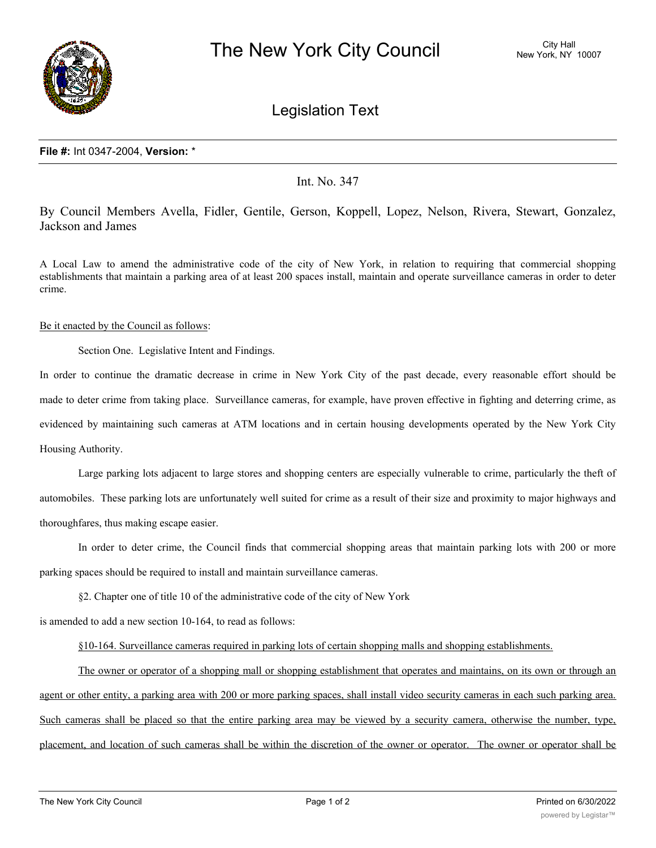

Legislation Text

## **File #:** Int 0347-2004, **Version:** \*

Int. No. 347

By Council Members Avella, Fidler, Gentile, Gerson, Koppell, Lopez, Nelson, Rivera, Stewart, Gonzalez, Jackson and James

A Local Law to amend the administrative code of the city of New York, in relation to requiring that commercial shopping establishments that maintain a parking area of at least 200 spaces install, maintain and operate surveillance cameras in order to deter crime.

## Be it enacted by the Council as follows:

Section One. Legislative Intent and Findings.

In order to continue the dramatic decrease in crime in New York City of the past decade, every reasonable effort should be made to deter crime from taking place. Surveillance cameras, for example, have proven effective in fighting and deterring crime, as evidenced by maintaining such cameras at ATM locations and in certain housing developments operated by the New York City Housing Authority.

Large parking lots adjacent to large stores and shopping centers are especially vulnerable to crime, particularly the theft of automobiles. These parking lots are unfortunately well suited for crime as a result of their size and proximity to major highways and thoroughfares, thus making escape easier.

In order to deter crime, the Council finds that commercial shopping areas that maintain parking lots with 200 or more parking spaces should be required to install and maintain surveillance cameras.

§2. Chapter one of title 10 of the administrative code of the city of New York

is amended to add a new section 10-164, to read as follows:

§10-164. Surveillance cameras required in parking lots of certain shopping malls and shopping establishments.

The owner or operator of a shopping mall or shopping establishment that operates and maintains, on its own or through an agent or other entity, a parking area with 200 or more parking spaces, shall install video security cameras in each such parking area. Such cameras shall be placed so that the entire parking area may be viewed by a security camera, otherwise the number, type, placement, and location of such cameras shall be within the discretion of the owner or operator. The owner or operator shall be